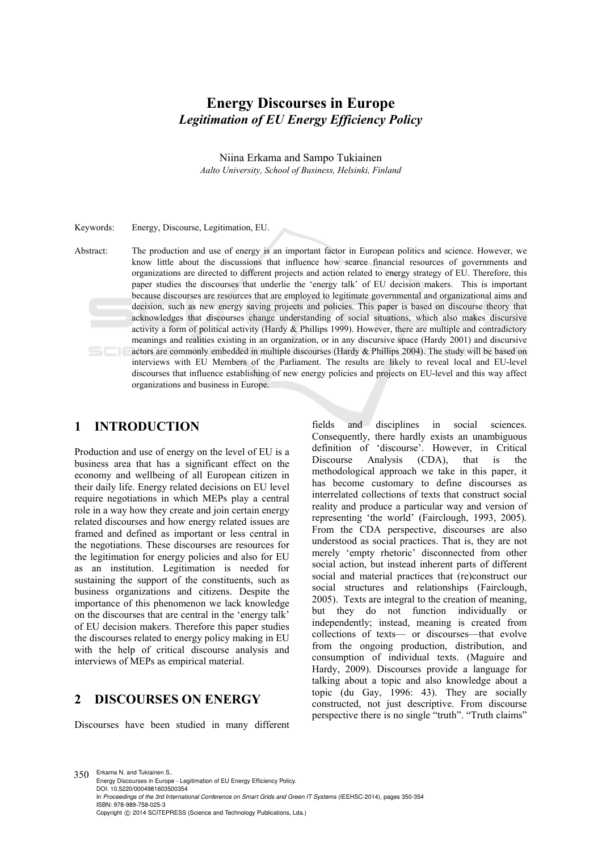# **Energy Discourses in Europe** *Legitimation of EU Energy Efficiency Policy*

Niina Erkama and Sampo Tukiainen *Aalto University, School of Business, Helsinki, Finland* 

Keywords: Energy, Discourse, Legitimation, EU.

Abstract: The production and use of energy is an important factor in European politics and science. However, we know little about the discussions that influence how scarce financial resources of governments and organizations are directed to different projects and action related to energy strategy of EU. Therefore, this paper studies the discourses that underlie the 'energy talk' of EU decision makers. This is important because discourses are resources that are employed to legitimate governmental and organizational aims and decision, such as new energy saving projects and policies. This paper is based on discourse theory that acknowledges that discourses change understanding of social situations, which also makes discursive activity a form of political activity (Hardy & Phillips 1999). However, there are multiple and contradictory meanings and realities existing in an organization, or in any discursive space (Hardy 2001) and discursive actors are commonly embedded in multiple discourses (Hardy & Phillips 2004). The study will be based on interviews with EU Members of the Parliament. The results are likely to reveal local and EU-level discourses that influence establishing of new energy policies and projects on EU-level and this way affect organizations and business in Europe.

#### **1 INTRODUCTION**

Production and use of energy on the level of EU is a business area that has a significant effect on the economy and wellbeing of all European citizen in their daily life. Energy related decisions on EU level require negotiations in which MEPs play a central role in a way how they create and join certain energy related discourses and how energy related issues are framed and defined as important or less central in the negotiations. These discourses are resources for the legitimation for energy policies and also for EU as an institution. Legitimation is needed for sustaining the support of the constituents, such as business organizations and citizens. Despite the importance of this phenomenon we lack knowledge on the discourses that are central in the 'energy talk' of EU decision makers. Therefore this paper studies the discourses related to energy policy making in EU with the help of critical discourse analysis and interviews of MEPs as empirical material.

## **2 DISCOURSES ON ENERGY**

Discourses have been studied in many different

fields and disciplines in social sciences. Consequently, there hardly exists an unambiguous definition of 'discourse'. However, in Critical Discourse Analysis (CDA), that is the methodological approach we take in this paper, it has become customary to define discourses as interrelated collections of texts that construct social reality and produce a particular way and version of representing 'the world' (Fairclough, 1993, 2005). From the CDA perspective, discourses are also understood as social practices. That is, they are not merely 'empty rhetoric' disconnected from other social action, but instead inherent parts of different social and material practices that (re)construct our social structures and relationships (Fairclough, 2005). Texts are integral to the creation of meaning, but they do not function individually or independently; instead, meaning is created from collections of texts— or discourses—that evolve from the ongoing production, distribution, and consumption of individual texts. (Maguire and Hardy, 2009). Discourses provide a language for talking about a topic and also knowledge about a topic (du Gay, 1996: 43). They are socially constructed, not just descriptive. From discourse perspective there is no single "truth". "Truth claims"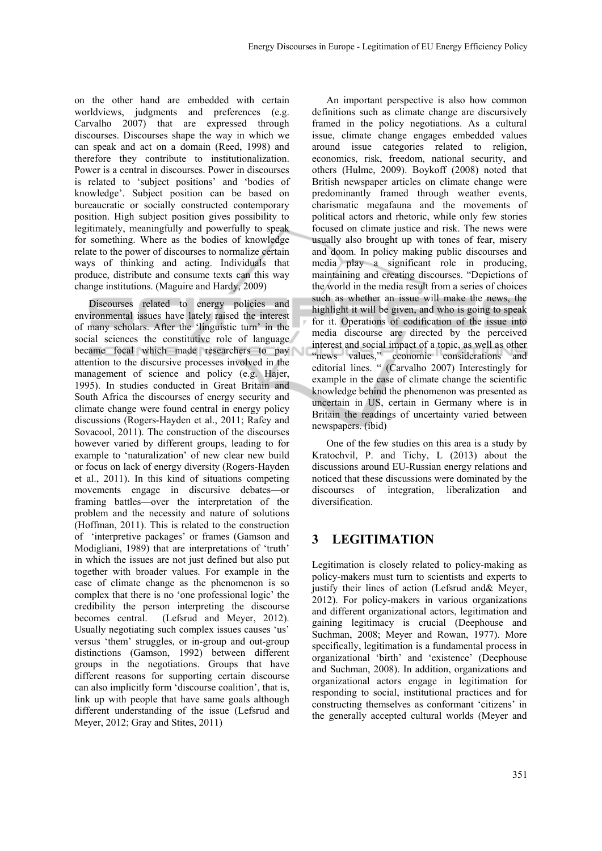on the other hand are embedded with certain worldviews, judgments and preferences (e.g. Carvalho 2007) that are expressed through discourses. Discourses shape the way in which we can speak and act on a domain (Reed, 1998) and therefore they contribute to institutionalization. Power is a central in discourses. Power in discourses is related to 'subject positions' and 'bodies of knowledge'. Subject position can be based on bureaucratic or socially constructed contemporary position. High subject position gives possibility to legitimately, meaningfully and powerfully to speak for something. Where as the bodies of knowledge relate to the power of discourses to normalize certain ways of thinking and acting. Individuals that produce, distribute and consume texts can this way change institutions. (Maguire and Hardy, 2009)

Discourses related to energy policies and environmental issues have lately raised the interest of many scholars. After the 'linguistic turn' in the social sciences the constitutive role of language became focal which made researchers to pay attention to the discursive processes involved in the management of science and policy (e.g. Hajer, 1995). In studies conducted in Great Britain and South Africa the discourses of energy security and climate change were found central in energy policy discussions (Rogers-Hayden et al., 2011; Rafey and Sovacool, 2011). The construction of the discourses however varied by different groups, leading to for example to 'naturalization' of new clear new build or focus on lack of energy diversity (Rogers-Hayden et al., 2011). In this kind of situations competing movements engage in discursive debates—or framing battles—over the interpretation of the problem and the necessity and nature of solutions (Hoffman, 2011). This is related to the construction of 'interpretive packages' or frames (Gamson and Modigliani, 1989) that are interpretations of 'truth' in which the issues are not just defined but also put together with broader values. For example in the case of climate change as the phenomenon is so complex that there is no 'one professional logic' the credibility the person interpreting the discourse becomes central. (Lefsrud and Meyer, 2012). Usually negotiating such complex issues causes 'us' versus 'them' struggles, or in-group and out-group distinctions (Gamson, 1992) between different groups in the negotiations. Groups that have different reasons for supporting certain discourse can also implicitly form 'discourse coalition', that is, link up with people that have same goals although different understanding of the issue (Lefsrud and Meyer, 2012; Gray and Stites, 2011)

An important perspective is also how common definitions such as climate change are discursively framed in the policy negotiations. As a cultural issue, climate change engages embedded values around issue categories related to religion, economics, risk, freedom, national security, and others (Hulme, 2009). Boykoff (2008) noted that British newspaper articles on climate change were predominantly framed through weather events, charismatic megafauna and the movements of political actors and rhetoric, while only few stories focused on climate justice and risk. The news were usually also brought up with tones of fear, misery and doom. In policy making public discourses and media play a significant role in producing, maintaining and creating discourses. "Depictions of the world in the media result from a series of choices such as whether an issue will make the news, the highlight it will be given, and who is going to speak for it. Operations of codification of the issue into media discourse are directed by the perceived interest and social impact of a topic, as well as other "news values," economic considerations and editorial lines. " (Carvalho 2007) Interestingly for example in the case of climate change the scientific knowledge behind the phenomenon was presented as uncertain in US, certain in Germany where is in Britain the readings of uncertainty varied between newspapers. (ibid)

One of the few studies on this area is a study by Kratochvil, P. and Tichy, L (2013) about the discussions around EU-Russian energy relations and noticed that these discussions were dominated by the discourses of integration, liberalization and diversification.

### **3 LEGITIMATION**

Legitimation is closely related to policy-making as policy-makers must turn to scientists and experts to justify their lines of action (Lefsrud and& Meyer, 2012). For policy-makers in various organizations and different organizational actors, legitimation and gaining legitimacy is crucial (Deephouse and Suchman, 2008; Meyer and Rowan, 1977). More specifically, legitimation is a fundamental process in organizational 'birth' and 'existence' (Deephouse and Suchman, 2008). In addition, organizations and organizational actors engage in legitimation for responding to social, institutional practices and for constructing themselves as conformant 'citizens' in the generally accepted cultural worlds (Meyer and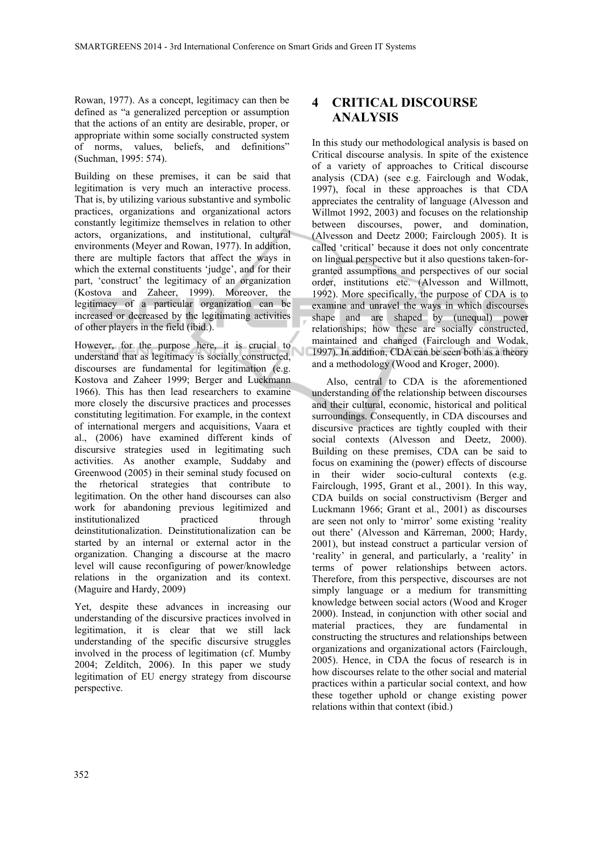Rowan, 1977). As a concept, legitimacy can then be defined as "a generalized perception or assumption that the actions of an entity are desirable, proper, or appropriate within some socially constructed system of norms, values, beliefs, and definitions" (Suchman, 1995: 574).

Building on these premises, it can be said that legitimation is very much an interactive process. That is, by utilizing various substantive and symbolic practices, organizations and organizational actors constantly legitimize themselves in relation to other actors, organizations, and institutional, cultural environments (Meyer and Rowan, 1977). In addition, there are multiple factors that affect the ways in which the external constituents 'judge', and for their part, 'construct' the legitimacy of an organization (Kostova and Zaheer, 1999). Moreover, the legitimacy of a particular organization can be increased or decreased by the legitimating activities of other players in the field (ibid.).

However, for the purpose here, it is crucial to understand that as legitimacy is socially constructed, discourses are fundamental for legitimation (e.g. Kostova and Zaheer 1999; Berger and Luckmann 1966). This has then lead researchers to examine more closely the discursive practices and processes constituting legitimation. For example, in the context of international mergers and acquisitions, Vaara et al., (2006) have examined different kinds of discursive strategies used in legitimating such activities. As another example, Suddaby and Greenwood (2005) in their seminal study focused on the rhetorical strategies that contribute to legitimation. On the other hand discourses can also work for abandoning previous legitimized and institutionalized practiced through deinstitutionalization. Deinstitutionalization can be started by an internal or external actor in the organization. Changing a discourse at the macro level will cause reconfiguring of power/knowledge relations in the organization and its context. (Maguire and Hardy, 2009)

Yet, despite these advances in increasing our understanding of the discursive practices involved in legitimation, it is clear that we still lack understanding of the specific discursive struggles involved in the process of legitimation (cf. Mumby 2004; Zelditch, 2006). In this paper we study legitimation of EU energy strategy from discourse perspective.

## **4 CRITICAL DISCOURSE ANALYSIS**

In this study our methodological analysis is based on Critical discourse analysis. In spite of the existence of a variety of approaches to Critical discourse analysis (CDA) (see e.g. Fairclough and Wodak, 1997), focal in these approaches is that CDA appreciates the centrality of language (Alvesson and Willmot 1992, 2003) and focuses on the relationship between discourses, power, and domination, (Alvesson and Deetz 2000; Fairclough 2005). It is called 'critical' because it does not only concentrate on lingual perspective but it also questions taken-forgranted assumptions and perspectives of our social order, institutions etc. (Alvesson and Willmott, 1992). More specifically, the purpose of CDA is to examine and unravel the ways in which discourses shape and are shaped by (unequal) power relationships; how these are socially constructed, maintained and changed (Fairclough and Wodak, 1997). In addition, CDA can be seen both as a theory and a methodology (Wood and Kroger, 2000).

Also, central to CDA is the aforementioned understanding of the relationship between discourses and their cultural, economic, historical and political surroundings. Consequently, in CDA discourses and discursive practices are tightly coupled with their social contexts (Alvesson and Deetz, 2000). Building on these premises, CDA can be said to focus on examining the (power) effects of discourse in their wider socio-cultural contexts (e.g. Fairclough, 1995, Grant et al., 2001). In this way, CDA builds on social constructivism (Berger and Luckmann 1966; Grant et al., 2001) as discourses are seen not only to 'mirror' some existing 'reality out there' (Alvesson and Kärreman, 2000; Hardy, 2001), but instead construct a particular version of 'reality' in general, and particularly, a 'reality' in terms of power relationships between actors. Therefore, from this perspective, discourses are not simply language or a medium for transmitting knowledge between social actors (Wood and Kroger 2000). Instead, in conjunction with other social and material practices, they are fundamental in constructing the structures and relationships between organizations and organizational actors (Fairclough, 2005). Hence, in CDA the focus of research is in how discourses relate to the other social and material practices within a particular social context, and how these together uphold or change existing power relations within that context (ibid.)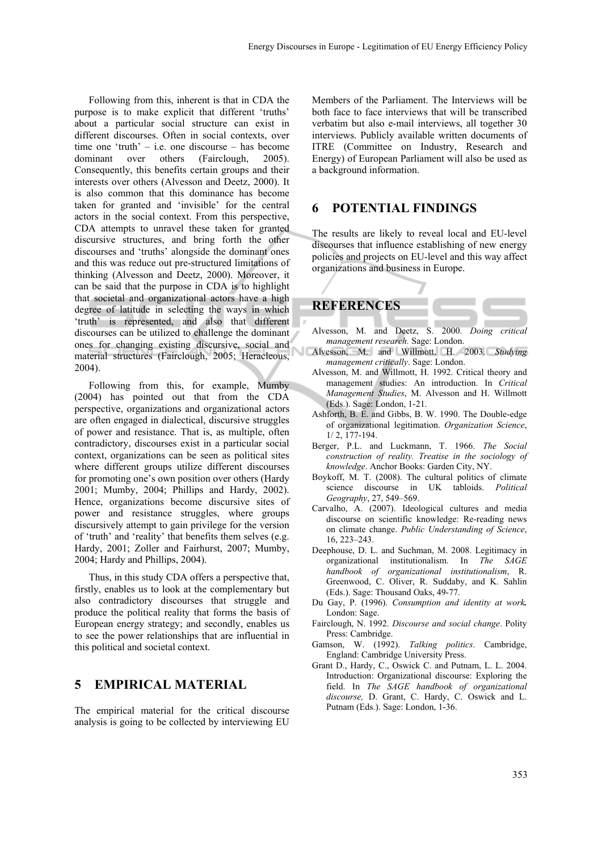Following from this, inherent is that in CDA the purpose is to make explicit that different 'truths' about a particular social structure can exist in different discourses. Often in social contexts, over time one 'truth' – i.e. one discourse – has become dominant over others (Fairclough, 2005). Consequently, this benefits certain groups and their interests over others (Alvesson and Deetz, 2000). It is also common that this dominance has become taken for granted and 'invisible' for the central actors in the social context. From this perspective, CDA attempts to unravel these taken for granted discursive structures, and bring forth the other discourses and 'truths' alongside the dominant ones and this was reduce out pre-structured limitations of thinking (Alvesson and Deetz, 2000). Moreover, it can be said that the purpose in CDA is to highlight that societal and organizational actors have a high degree of latitude in selecting the ways in which 'truth' is represented, and also that different discourses can be utilized to challenge the dominant ones for changing existing discursive, social and material structures (Fairclough, 2005; Heracleous, 2004).

Following from this, for example, Mumby (2004) has pointed out that from the CDA perspective, organizations and organizational actors are often engaged in dialectical, discursive struggles of power and resistance. That is, as multiple, often contradictory, discourses exist in a particular social context, organizations can be seen as political sites where different groups utilize different discourses for promoting one's own position over others (Hardy 2001; Mumby, 2004; Phillips and Hardy, 2002). Hence, organizations become discursive sites of power and resistance struggles, where groups discursively attempt to gain privilege for the version of 'truth' and 'reality' that benefits them selves (e.g. Hardy, 2001; Zoller and Fairhurst, 2007; Mumby, 2004; Hardy and Phillips, 2004).

Thus, in this study CDA offers a perspective that, firstly, enables us to look at the complementary but also contradictory discourses that struggle and produce the political reality that forms the basis of European energy strategy; and secondly, enables us to see the power relationships that are influential in this political and societal context.

### **5 EMPIRICAL MATERIAL**

The empirical material for the critical discourse analysis is going to be collected by interviewing EU

Members of the Parliament. The Interviews will be both face to face interviews that will be transcribed verbatim but also e-mail interviews, all together 30 interviews. Publicly available written documents of ITRE (Committee on Industry, Research and Energy) of European Parliament will also be used as a background information.

#### **6 POTENTIAL FINDINGS**

The results are likely to reveal local and EU-level discourses that influence establishing of new energy policies and projects on EU-level and this way affect organizations and business in Europe.



- Alvesson, M. and Deetz, S. 2000. *Doing critical management research.* Sage: London.
- Alvesson, M. and Willmott, H. 2003. *Studying management critically*. Sage: London.
- Alvesson, M. and Willmott, H. 1992. Critical theory and management studies: An introduction. In *Critical Management Studies*, M. Alvesson and H. Willmott (Eds.). Sage: London, 1-21.
- Ashforth, B. E. and Gibbs, B. W. 1990. The Double-edge of organizational legitimation. *Organization Science*, 1/ 2, 177-194.
- Berger, P.L. and Luckmann, T. 1966. *The Social construction of reality. Treatise in the sociology of knowledge*. Anchor Books: Garden City, NY.
- Boykoff, M. T. (2008). The cultural politics of climate science discourse in UK tabloids. *Political Geography*, 27, 549–569.
- Carvalho, A. (2007). Ideological cultures and media discourse on scientific knowledge: Re-reading news on climate change. *Public Understanding of Science*,  $16, 223 - 243$
- Deephouse, D. L. and Suchman, M. 2008. Legitimacy in organizational institutionalism. In *The SAGE handbook of organizational institutionalism*, R. Greenwood, C. Oliver, R. Suddaby, and K. Sahlin (Eds.). Sage: Thousand Oaks, 49-77.
- Du Gay, P. (1996). *Consumption and identity at work.*  London: Sage.
- Fairclough, N. 1992. *Discourse and social change*. Polity Press: Cambridge.
- Gamson, W. (1992). *Talking politics*. Cambridge, England: Cambridge University Press.
- Grant D., Hardy, C., Oswick C. and Putnam, L. L. 2004. Introduction: Organizational discourse: Exploring the field. In *The SAGE handbook of organizational discourse,* D. Grant, C. Hardy, C. Oswick and L. Putnam (Eds.). Sage: London, 1-36.